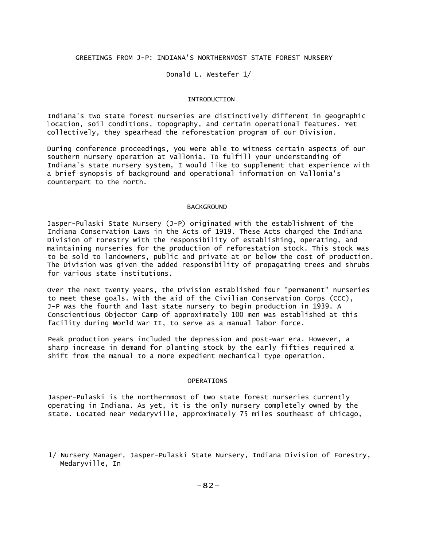## GREETINGS FROM J-P: INDIANA'S NORTHERNMOST STATE FOREST NURSERY

# Donald L. Westefer 1/

### INTRODUCTION

Indiana's two state forest nurseries are distinctively different in geographic <sup>l</sup> ocation, soil conditions, topography, and certain operational features. Yet collectively, they spearhead the reforestation program of our Division.

During conference proceedings, you were able to witness certain aspects of our southern nursery operation at Vallonia. To fulfill your understanding of Indiana's state nursery system, I would like to supplement that experience with a brief synopsis of background and operational information on Vallonia's counterpart to the north.

#### BACKGROUND

Jasper-Pulaski State Nursery (J-P) originated with the establishment of the Indiana Conservation Laws in the Acts of 1919. These Acts charged the Indiana Division of Forestry with the responsibility of establishing, operating, and maintaining nurseries for the production of reforestation stock. This stock was to be sold to landowners, public and private at or below the cost of production. The Division was given the added responsibility of propagating trees and shrubs for various state institutions.

Over the next twenty years, the Division established four "permanent" nurseries to meet these goals. With the aid of the Civilian Conservation Corps (CCC), J-P was the fourth and last state nursery to begin production in 1939. A Conscientious Objector Camp of approximately 100 men was established at this facility during World War II, to serve as a manual labor force.

Peak production years included the depression and post-war era. However, a sharp increase in demand for planting stock by the early fifties required a shift from the manual to a more expedient mechanical type operation.

#### OPERATIONS

Jasper-Pulaski is the northernmost of two state forest nurseries currently operating in Indiana. As yet, it is the only nursery completely owned by the state. Located near Medaryville, approximately 75 miles southeast of Chicago,

<sup>1/</sup> Nursery Manager, Jasper-Pulaski State Nursery, Indiana Division of Forestry, Medaryville, In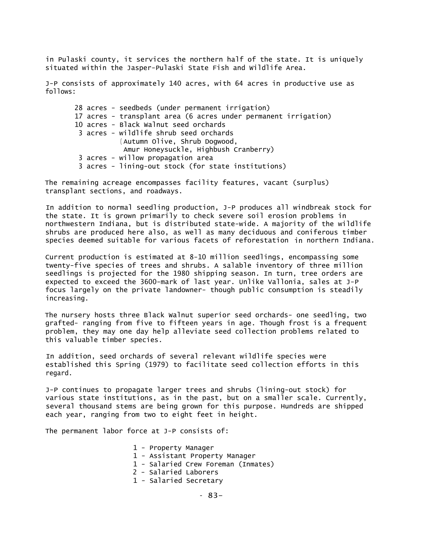in Pulaski county, it services the northern half of the state. It is uniquely situated within the Jasper-Pulaski State Fish and Wildlife Area.

J-P consists of approximately 140 acres, with 64 acres in productive use as follows:

28 acres - seedbeds (under permanent irrigation) 17 acres - transplant area (6 acres under permanent irrigation) 10 acres - Black Walnut seed orchards 3 acres - wildlife shrub seed orchards ( Autumn Olive, Shrub Dogwood, Amur Honeysuckle, Highbush Cranberry) 3 acres - willow propagation area 3 acres - lining-out stock (for state institutions)

The remaining acreage encompasses facility features, vacant (surplus) transplant sections, and roadways.

In addition to normal seedling production, J-P produces all windbreak stock for the state. It is grown primarily to check severe soil erosion problems in northwestern Indiana, but is distributed state-wide. A majority of the wildlife shrubs are produced here also, as well as many deciduous and coniferous timber species deemed suitable for various facets of reforestation in northern Indiana.

Current production is estimated at 8-10 million seedlings, encompassing some twenty-five species of trees and shrubs. A salable inventory of three million seedlings is projected for the 1980 shipping season. In turn, tree orders are expected to exceed the 3600-mark of last year. Unlike Vallonia, sales at J-P focus largely on the private landowner- though public consumption is steadily increasing.

The nursery hosts three Black Walnut superior seed orchards- one seedling, two grafted- ranging from five to fifteen years in age. Though frost is a frequent problem, they may one day help alleviate seed collection problems related to this valuable timber species.

In addition, seed orchards of several relevant wildlife species were established this Spring (1979) to facilitate seed collection efforts in this regard.

J-P continues to propagate larger trees and shrubs (lining-out stock) for various state institutions, as in the past, but on a smaller scale. Currently, several thousand stems are being grown for this purpose. Hundreds are shipped each year, ranging from two to eight feet in height.

The permanent labor force at J-P consists of:

- 1 Property Manager
- 1 Assistant Property Manager
- 1 Salaried Crew Foreman (Inmates)
- 2 Salaried Laborers
- 1 Salaried Secretary